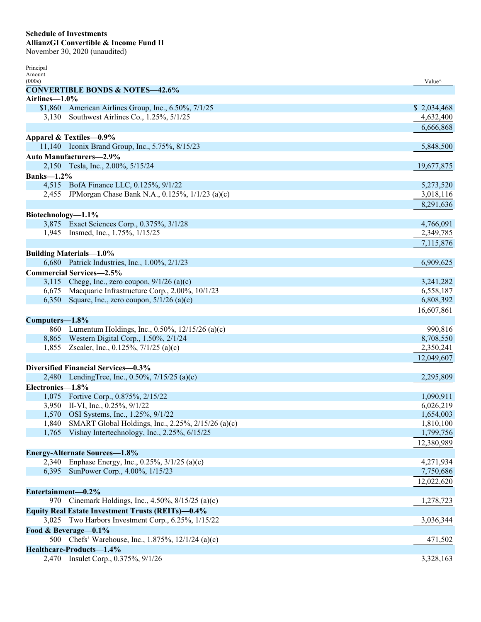## **Schedule of Investments AllianzGI Convertible & Income Fund II**

November 30, 2020 (unaudited)

| Principal          |                                                          |                                     |
|--------------------|----------------------------------------------------------|-------------------------------------|
| Amount<br>(000s)   |                                                          | Value <sup><math>\land</math></sup> |
|                    | <b>CONVERTIBLE BONDS &amp; NOTES-42.6%</b>               |                                     |
| Airlines-1.0%      |                                                          |                                     |
|                    | \$1,860 American Airlines Group, Inc., 6.50%, 7/1/25     | \$2,034,468                         |
| 3,130              | Southwest Airlines Co., 1.25%, 5/1/25                    | 4,632,400                           |
|                    |                                                          | 6,666,868                           |
|                    | Apparel & Textiles-0.9%                                  |                                     |
|                    | 11,140 Iconix Brand Group, Inc., 5.75%, 8/15/23          | 5,848,500                           |
|                    | <b>Auto Manufacturers-2.9%</b>                           |                                     |
|                    | 2,150 Tesla, Inc., 2.00%, 5/15/24                        | 19,677,875                          |
| <b>Banks-1.2%</b>  |                                                          |                                     |
|                    | 4,515 BofA Finance LLC, 0.125%, 9/1/22                   | 5,273,520                           |
|                    | 2,455 JPM organ Chase Bank N.A., 0.125%, 1/1/23 (a)(c)   | 3,018,116                           |
|                    |                                                          | 8,291,636                           |
|                    |                                                          |                                     |
| Biotechnology-1.1% | 3,875 Exact Sciences Corp., 0.375%, 3/1/28               | 4,766,091                           |
|                    | 1,945 Insmed, Inc., 1.75%, 1/15/25                       | 2,349,785                           |
|                    |                                                          | 7,115,876                           |
|                    |                                                          |                                     |
|                    | <b>Building Materials-1.0%</b>                           |                                     |
|                    | 6,680 Patrick Industries, Inc., 1.00%, 2/1/23            | 6,909,625                           |
|                    | <b>Commercial Services-2.5%</b>                          |                                     |
|                    | 3,115 Chegg, Inc., zero coupon, $9/1/26$ (a)(c)          | 3,241,282                           |
|                    | 6,675 Macquarie Infrastructure Corp., 2.00%, 10/1/23     | 6,558,187                           |
| 6,350              | Square, Inc., zero coupon, $5/1/26$ (a)(c)               | 6,808,392                           |
|                    |                                                          | 16,607,861                          |
| Computers-1.8%     |                                                          |                                     |
|                    | 860 Lumentum Holdings, Inc., 0.50%, 12/15/26 (a)(c)      | 990,816                             |
|                    | 8,865 Western Digital Corp., 1.50%, 2/1/24               | 8,708,550                           |
|                    | 1,855 Zscaler, Inc., 0.125%, $7/1/25$ (a)(c)             | 2,350,241                           |
|                    |                                                          | 12,049,607                          |
|                    | Diversified Financial Services-0.3%                      |                                     |
| 2,480              | LendingTree, Inc., 0.50%, $7/15/25$ (a)(c)               | 2,295,809                           |
| Electronics-1.8%   |                                                          |                                     |
|                    | 1,075 Fortive Corp., 0.875%, 2/15/22                     | 1,090,911                           |
|                    | 3,950 II-VI, Inc., 0.25%, 9/1/22                         | 6,026,219                           |
| 1,570              | OSI Systems, Inc., 1.25%, 9/1/22                         | 1,654,003                           |
| 1,840              | SMART Global Holdings, Inc., 2.25%, 2/15/26 (a)(c)       | 1,810,100                           |
| 1,765              | Vishay Intertechnology, Inc., 2.25%, 6/15/25             | 1,799,756                           |
|                    |                                                          | 12,380,989                          |
|                    | <b>Energy-Alternate Sources-1.8%</b>                     |                                     |
| 2,340              | Enphase Energy, Inc., 0.25%, 3/1/25 (a)(c)               | 4,271,934                           |
| 6,395              | SunPower Corp., 4.00%, 1/15/23                           | 7,750,686                           |
|                    |                                                          | 12,022,620                          |
| Entertainment-0.2% |                                                          |                                     |
| 970                | Cinemark Holdings, Inc., $4.50\%$ , $8/15/25$ (a)(c)     | 1,278,723                           |
|                    | <b>Equity Real Estate Investment Trusts (REITs)-0.4%</b> |                                     |
|                    | 3,025 Two Harbors Investment Corp., 6.25%, 1/15/22       | 3,036,344                           |
|                    | Food & Beverage-0.1%                                     |                                     |
|                    | 500 Chefs' Warehouse, Inc., 1.875%, 12/1/24 (a)(c)       | 471,502                             |
|                    | Healthcare-Products-1.4%                                 |                                     |
| 2,470              | Insulet Corp., 0.375%, 9/1/26                            | 3,328,163                           |
|                    |                                                          |                                     |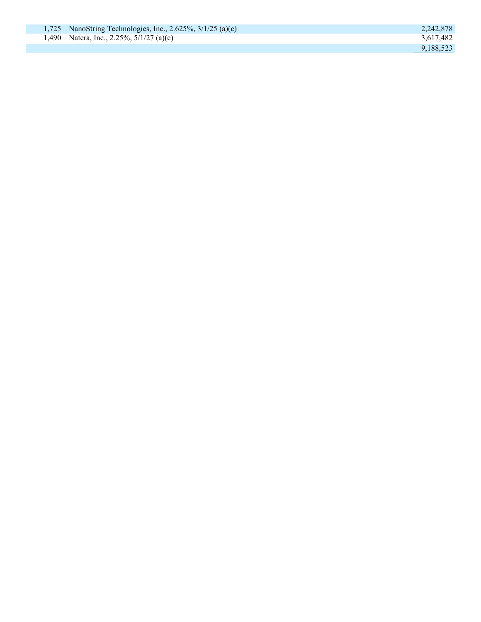|  | 1,725 NanoString Technologies, Inc., 2.625\%, $3/1/25$ (a)(c) | 2,242,878 |
|--|---------------------------------------------------------------|-----------|
|  | 1,490 Natera, Inc., 2.25%, $5/1/27$ (a)(c)                    | 3,617,482 |
|  |                                                               | 9,188,523 |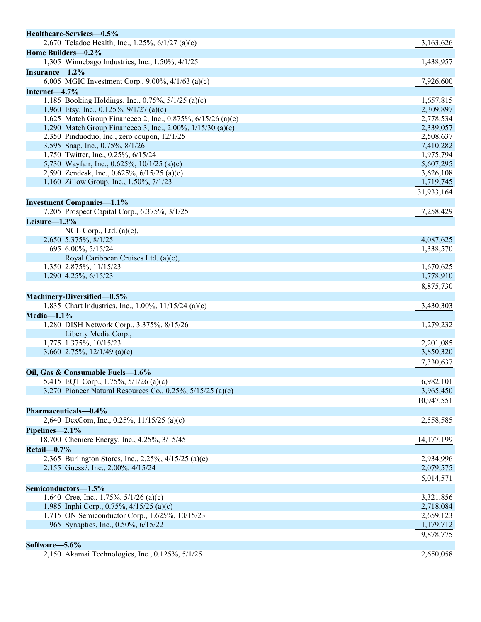| Healthcare-Services-0.5%                                                  |              |
|---------------------------------------------------------------------------|--------------|
| 2,670 Teladoc Health, Inc., 1.25%, 6/1/27 (a)(c)                          | 3,163,626    |
| Home Builders-0.2%                                                        |              |
| 1,305 Winnebago Industries, Inc., 1.50%, 4/1/25                           | 1,438,957    |
| Insurance-1.2%                                                            |              |
| 6,005 MGIC Investment Corp., 9.00%, 4/1/63 (a)(c)                         | 7,926,600    |
| Internet-4.7%                                                             |              |
| 1,185 Booking Holdings, Inc., 0.75%, 5/1/25 (a)(c)                        | 1,657,815    |
| 1,960 Etsy, Inc., 0.125%, $9/1/27$ (a)(c)                                 | 2,309,897    |
| 1,625 Match Group Financeco 2, Inc., 0.875%, 6/15/26 (a)(c)               | 2,778,534    |
| 1,290 Match Group Financeco 3, Inc., 2.00%, 1/15/30 (a)(c)                | 2,339,057    |
| 2,350 Pinduoduo, Inc., zero coupon, 12/1/25                               | 2,508,637    |
| 3,595 Snap, Inc., 0.75%, 8/1/26                                           | 7,410,282    |
| 1,750 Twitter, Inc., 0.25%, 6/15/24                                       | 1,975,794    |
| 5,730 Wayfair, Inc., 0.625%, 10/1/25 (a)(c)                               | 5,607,295    |
| 2,590 Zendesk, Inc., 0.625%, 6/15/25 (a)(c)                               | 3,626,108    |
| 1,160 Zillow Group, Inc., 1.50%, 7/1/23                                   | 1,719,745    |
|                                                                           | 31,933,164   |
| <b>Investment Companies-1.1%</b>                                          |              |
| 7,205 Prospect Capital Corp., 6.375%, 3/1/25                              | 7,258,429    |
| Leisure-1.3%                                                              |              |
| NCL Corp., Ltd. $(a)(c)$ ,                                                |              |
| 2,650 5.375%, 8/1/25                                                      | 4,087,625    |
| 695 6.00%, 5/15/24                                                        | 1,338,570    |
| Royal Caribbean Cruises Ltd. (a)(c),                                      |              |
| 1,350 2.875%, 11/15/23                                                    | 1,670,625    |
| 1,290 4.25%, 6/15/23                                                      | 1,778,910    |
|                                                                           | 8,875,730    |
| Machinery-Diversified-0.5%                                                |              |
| 1,835 Chart Industries, Inc., 1.00%, 11/15/24 (a)(c)                      | 3,430,303    |
| $Media-1.1%$                                                              |              |
| 1,280 DISH Network Corp., 3.375%, 8/15/26                                 |              |
| Liberty Media Corp.,                                                      | 1,279,232    |
| 1,775 1.375%, 10/15/23                                                    | 2,201,085    |
| 3,660 2.75%, $12/1/49$ (a)(c)                                             | 3,850,320    |
|                                                                           | 7,330,637    |
|                                                                           |              |
| Oil, Gas & Consumable Fuels-1.6%<br>5,415 EQT Corp., 1.75%, 5/1/26 (a)(c) | 6,982,101    |
| 3,270 Pioneer Natural Resources Co., 0.25%, 5/15/25 (a)(c)                | 3,965,450    |
|                                                                           |              |
|                                                                           | 10,947,551   |
| Pharmaceuticals-0.4%                                                      |              |
| 2,640 DexCom, Inc., 0.25%, 11/15/25 (a)(c)                                | 2,558,585    |
| Pipelines- $2.1\%$                                                        |              |
| 18,700 Cheniere Energy, Inc., 4.25%, 3/15/45                              | 14, 177, 199 |
| Retail-0.7%                                                               |              |
| 2,365 Burlington Stores, Inc., 2.25%, 4/15/25 (a)(c)                      | 2,934,996    |
| 2,155 Guess?, Inc., 2.00%, 4/15/24                                        | 2,079,575    |
|                                                                           | 5,014,571    |
| Semiconductors-1.5%                                                       |              |
| 1,640 Cree, Inc., 1.75%, $5/1/26$ (a)(c)                                  | 3,321,856    |
| 1,985 Inphi Corp., 0.75%, 4/15/25 (a)(c)                                  | 2,718,084    |
| 1,715 ON Semiconductor Corp., 1.625%, 10/15/23                            | 2,659,123    |
| 965 Synaptics, Inc., 0.50%, 6/15/22                                       | 1,179,712    |
|                                                                           | 9,878,775    |
| Software-5.6%                                                             |              |
| 2,150 Akamai Technologies, Inc., 0.125%, 5/1/25                           | 2,650,058    |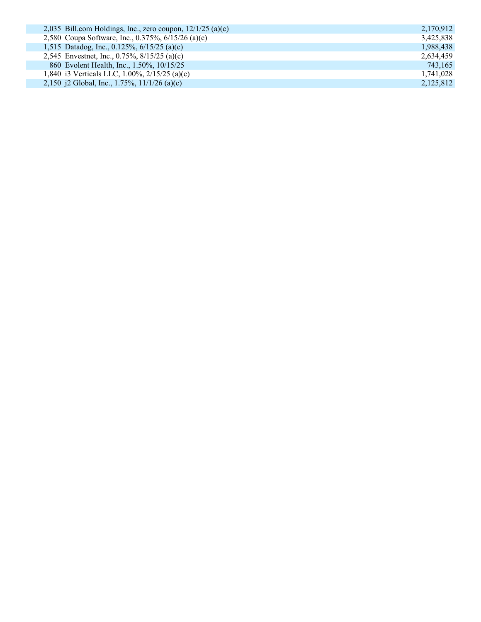| 2,035 Bill.com Holdings, Inc., zero coupon, $12/1/25$ (a)(c) | 2,170,912 |
|--------------------------------------------------------------|-----------|
| 2,580 Coupa Software, Inc., 0.375%, 6/15/26 (a)(c)           | 3,425,838 |
| 1,515 Datadog, Inc., 0.125%, $6/15/25$ (a)(c)                | 1,988,438 |
| 2,545 Envestnet, Inc., 0.75%, 8/15/25 (a)(c)                 | 2,634,459 |
| 860 Evolent Health, Inc., 1.50%, 10/15/25                    | 743,165   |
| 1,840 i3 Verticals LLC, 1.00%, $2/15/25$ (a)(c)              | 1,741,028 |
| 2,150 j2 Global, Inc., 1.75%, $11/1/26$ (a)(c)               | 2,125,812 |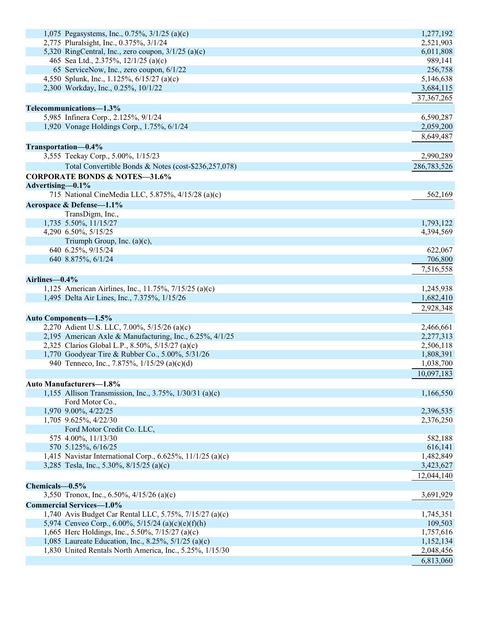| 1,075 Pegasystems, Inc., 0.75%, 3/1/25 (a)(c)                                                         | 1,277,192              |
|-------------------------------------------------------------------------------------------------------|------------------------|
| 2,775 Pluralsight, Inc., 0.375%, 3/1/24                                                               | 2,521,903              |
| 5,320 RingCentral, Inc., zero coupon, $3/1/25$ (a)(c)                                                 | 6,011,808              |
| 465 Sea Ltd., 2.375%, 12/1/25 (a)(c)                                                                  | 989,141                |
| 65 ServiceNow, Inc., zero coupon, 6/1/22                                                              | 256,758                |
| 4,550 Splunk, Inc., 1.125%, 6/15/27 (a)(c)                                                            | 5,146,638              |
| 2,300 Workday, Inc., 0.25%, 10/1/22                                                                   | 3,684,115              |
|                                                                                                       | 37, 367, 265           |
| Telecommunications-1.3%                                                                               |                        |
| 5,985 Infinera Corp., 2.125%, 9/1/24                                                                  | 6,590,287              |
| 1,920 Vonage Holdings Corp., 1.75%, 6/1/24                                                            | 2,059,200              |
|                                                                                                       | 8,649,487              |
| Transportation-0.4%                                                                                   |                        |
| 3,555 Teekay Corp., 5.00%, 1/15/23                                                                    | 2,990,289              |
| Total Convertible Bonds & Notes (cost-\$236,257,078)                                                  | 286,783,526            |
| <b>CORPORATE BONDS &amp; NOTES-31.6%</b>                                                              |                        |
| Advertising-0.1%                                                                                      |                        |
| 715 National CineMedia LLC, 5.875%, 4/15/28 (a)(c)                                                    | 562,169                |
| Aerospace & Defense-1.1%                                                                              |                        |
| TransDigm, Inc.,                                                                                      |                        |
| 1,735 5.50%, 11/15/27                                                                                 | 1,793,122              |
| 4,290 6.50%, 5/15/25                                                                                  | 4,394,569              |
| Triumph Group, Inc. $(a)(c)$ ,                                                                        |                        |
| 640 6.25%, 9/15/24                                                                                    | 622,067                |
| 640 8.875%, 6/1/24                                                                                    | 706,800                |
|                                                                                                       | 7,516,558              |
|                                                                                                       |                        |
| Airlines-0.4%                                                                                         |                        |
| 1,125 American Airlines, Inc., 11.75%, 7/15/25 (a)(c)<br>1,495 Delta Air Lines, Inc., 7.375%, 1/15/26 | 1,245,938<br>1,682,410 |
|                                                                                                       |                        |
|                                                                                                       | 2,928,348              |
| <b>Auto Components-1.5%</b>                                                                           |                        |
| 2,270 Adient U.S. LLC, 7.00%, 5/15/26 (a)(c)                                                          | 2,466,661              |
| 2,195 American Axle & Manufacturing, Inc., 6.25%, 4/1/25                                              | 2,277,313              |
| 2,325 Clarios Global L.P., 8.50%, 5/15/27 (a)(c)                                                      | 2,506,118              |
| 1,770 Goodyear Tire & Rubber Co., 5.00%, 5/31/26                                                      | 1,808,391              |
| 940 Tenneco, Inc., 7.875%, 1/15/29 (a)(c)(d)                                                          | 1,038,700              |
|                                                                                                       | 10,097,183             |
| Auto Manufacturers-1.8%                                                                               |                        |
| 1,155 Allison Transmission, Inc., 3.75%, 1/30/31 (a)(c)                                               | 1,166,550              |
| Ford Motor Co.,                                                                                       |                        |
| 1,970 9.00%, 4/22/25                                                                                  | 2,396,535              |
| 1,705 9.625%, 4/22/30                                                                                 | 2,376,250              |
| Ford Motor Credit Co. LLC,                                                                            |                        |
| 575 4.00%, 11/13/30<br>570 5.125%, 6/16/25                                                            | 582,188<br>616,141     |
| 1,415 Navistar International Corp., 6.625%, 11/1/25 (a)(c)                                            | 1,482,849              |
| 3,285 Tesla, Inc., 5.30%, 8/15/25 (a)(c)                                                              | 3,423,627              |
|                                                                                                       |                        |
|                                                                                                       | 12,044,140             |
| Chemicals-0.5%                                                                                        |                        |
| 3,550 Tronox, Inc., 6.50%, 4/15/26 (a)(c)                                                             | 3,691,929              |
| <b>Commercial Services-1.0%</b>                                                                       |                        |
| 1,740 Avis Budget Car Rental LLC, 5.75%, 7/15/27 (a)(c)                                               | 1,745,351              |
| 5,974 Cenveo Corp., 6.00%, 5/15/24 (a)(c)(e)(f)(h)                                                    | 109,503                |
| 1,665 Herc Holdings, Inc., 5.50%, 7/15/27 (a)(c)                                                      | 1,757,616              |
| 1,085 Laureate Education, Inc., 8.25%, $5/1/25$ (a)(c)                                                | 1,152,134              |
| 1,830 United Rentals North America, Inc., 5.25%, 1/15/30                                              | 2,048,456              |
|                                                                                                       | 6,813,060              |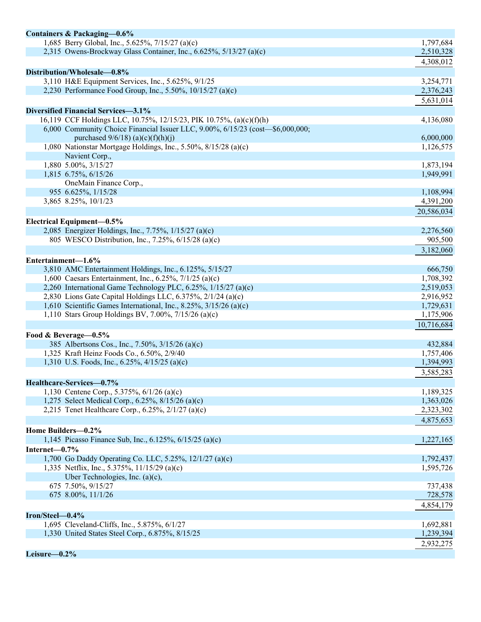| Containers & Packaging-0.6%                                                    |            |
|--------------------------------------------------------------------------------|------------|
| 1,685 Berry Global, Inc., 5.625%, 7/15/27 (a)(c)                               | 1,797,684  |
| 2,315 Owens-Brockway Glass Container, Inc., 6.625%, 5/13/27 (a)(c)             | 2,510,328  |
|                                                                                | 4,308,012  |
| Distribution/Wholesale-0.8%                                                    |            |
| 3,110 H&E Equipment Services, Inc., 5.625%, 9/1/25                             | 3,254,771  |
| 2,230 Performance Food Group, Inc., 5.50%, 10/15/27 (a)(c)                     | 2,376,243  |
|                                                                                | 5,631,014  |
| Diversified Financial Services-3.1%                                            |            |
| 16,119 CCF Holdings LLC, 10.75%, 12/15/23, PIK 10.75%, (a)(c)(f)(h)            | 4,136,080  |
| 6,000 Community Choice Financial Issuer LLC, 9.00%, 6/15/23 (cost-\$6,000,000; |            |
| purchased $9/6/18$ (a)(c)(f)(h)(j)                                             | 6,000,000  |
| 1,080 Nationstar Mortgage Holdings, Inc., 5.50%, 8/15/28 (a)(c)                | 1,126,575  |
| Navient Corp.,                                                                 |            |
| 1,880 5.00%, 3/15/27                                                           | 1,873,194  |
| 1,815 6.75%, 6/15/26                                                           | 1,949,991  |
| OneMain Finance Corp.,                                                         |            |
| 955 6.625%, 1/15/28                                                            | 1,108,994  |
| 3,865 8.25%, 10/1/23                                                           | 4,391,200  |
|                                                                                | 20,586,034 |
| Electrical Equipment-0.5%                                                      |            |
| 2,085 Energizer Holdings, Inc., 7.75%, 1/15/27 (a)(c)                          | 2,276,560  |
| 805 WESCO Distribution, Inc., 7.25%, 6/15/28 (a)(c)                            | 905,500    |
|                                                                                | 3,182,060  |
| Entertainment-1.6%                                                             |            |
| 3,810 AMC Entertainment Holdings, Inc., 6.125%, 5/15/27                        | 666,750    |
| 1,600 Caesars Entertainment, Inc., 6.25%, $7/1/25$ (a)(c)                      | 1,708,392  |
| 2,260 International Game Technology PLC, 6.25%, 1/15/27 (a)(c)                 | 2,519,053  |
| 2,830 Lions Gate Capital Holdings LLC, 6.375%, 2/1/24 (a)(c)                   | 2,916,952  |
| 1,610 Scientific Games International, Inc., 8.25%, $3/15/26$ (a)(c)            | 1,729,631  |
| 1,110 Stars Group Holdings BV, 7.00%, 7/15/26 (a)(c)                           | 1,175,906  |
|                                                                                | 10,716,684 |
| Food & Beverage-0.5%                                                           |            |
| 385 Albertsons Cos., Inc., 7.50%, 3/15/26 (a)(c)                               | 432,884    |
| 1,325 Kraft Heinz Foods Co., 6.50%, 2/9/40                                     | 1,757,406  |
| 1,310 U.S. Foods, Inc., 6.25%, 4/15/25 (a)(c)                                  | 1,394,993  |
|                                                                                | 3,585,283  |
| Healthcare-Services-0.7%                                                       |            |
| 1,130 Centene Corp., 5.375%, $6/1/26$ (a)(c)                                   | 1,189,325  |
| 1,275 Select Medical Corp., 6.25%, 8/15/26 (a)(c)                              | 1,363,026  |
| 2,215 Tenet Healthcare Corp., $6.25\%$ , $2/1/27$ (a)(c)                       | 2,323,302  |
|                                                                                | 4,875,653  |
| Home Builders-0.2%                                                             |            |
| 1,145 Picasso Finance Sub, Inc., 6.125%, 6/15/25 (a)(c)                        | 1,227,165  |
| Internet-0.7%                                                                  |            |
| 1,700 Go Daddy Operating Co. LLC, 5.25%, 12/1/27 (a)(c)                        | 1,792,437  |
| 1,335 Netflix, Inc., 5.375%, 11/15/29 (a)(c)                                   | 1,595,726  |
| Uber Technologies, Inc. $(a)(c)$ ,                                             |            |
| 675 7.50%, 9/15/27                                                             | 737,438    |
| 675 8.00%, 11/1/26                                                             | 728,578    |
|                                                                                | 4,854,179  |
| Iron/Steel-0.4%                                                                |            |
| 1,695 Cleveland-Cliffs, Inc., 5.875%, 6/1/27                                   | 1,692,881  |
| 1,330 United States Steel Corp., 6.875%, 8/15/25                               | 1,239,394  |
|                                                                                | 2,932,275  |
|                                                                                |            |
| Leisure-0.2%                                                                   |            |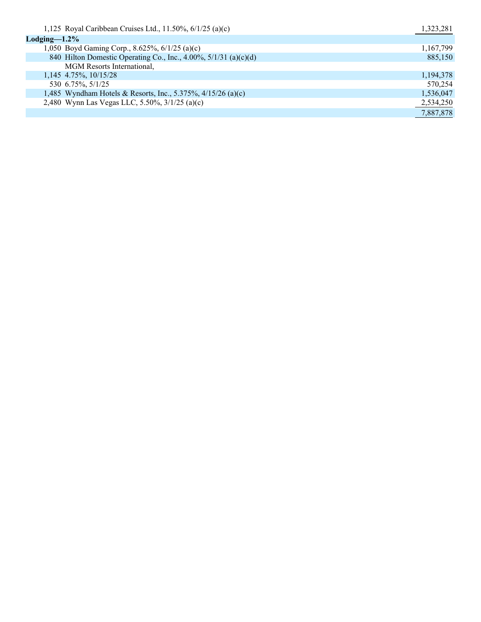| 1,125 Royal Caribbean Cruises Ltd., 11.50%, $6/1/25$ (a)(c)      | 1,323,281 |
|------------------------------------------------------------------|-----------|
| $\text{Lodging}\text{---}1.2\%$                                  |           |
| 1,050 Boyd Gaming Corp., 8.625%, 6/1/25 (a)(c)                   | 1,167,799 |
| 840 Hilton Domestic Operating Co., Inc., 4.00%, 5/1/31 (a)(c)(d) | 885,150   |
| MGM Resorts International,                                       |           |
| 1,145 4.75%, 10/15/28                                            | 1,194,378 |
| 530 6.75%, 5/1/25                                                | 570,254   |
| 1,485 Wyndham Hotels & Resorts, Inc., 5.375%, 4/15/26 (a)(c)     | 1,536,047 |
| 2,480 Wynn Las Vegas LLC, 5.50%, 3/1/25 (a)(c)                   | 2,534,250 |
|                                                                  | 7,887,878 |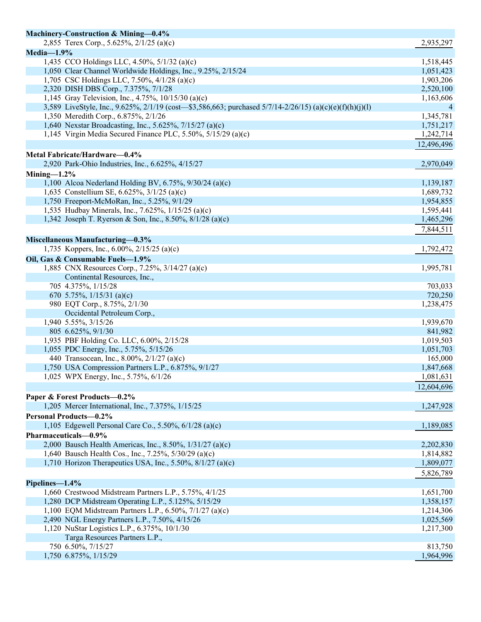| Machinery-Construction & Mining-0.4%                                                                     |            |
|----------------------------------------------------------------------------------------------------------|------------|
| 2,855 Terex Corp., 5.625%, 2/1/25 (a)(c)                                                                 | 2,935,297  |
| $Media-1.9%$                                                                                             |            |
| 1,435 CCO Holdings LLC, 4.50%, 5/1/32 (a)(c)                                                             | 1,518,445  |
| 1,050 Clear Channel Worldwide Holdings, Inc., 9.25%, 2/15/24                                             | 1,051,423  |
| 1,705 CSC Holdings LLC, 7.50%, 4/1/28 (a)(c)                                                             | 1,903,206  |
| 2,320 DISH DBS Corp., 7.375%, 7/1/28                                                                     | 2,520,100  |
| 1,145 Gray Television, Inc., 4.75%, 10/15/30 (a)(c)                                                      | 1,163,606  |
| 3,589 LiveStyle, Inc., 9.625%, 2/1/19 (cost—\$3,586,663; purchased 5/7/14-2/26/15) (a)(c)(e)(f)(h)(j)(l) | 4          |
| 1,350 Meredith Corp., 6.875%, 2/1/26                                                                     | 1,345,781  |
| 1,640 Nexstar Broadcasting, Inc., 5.625%, 7/15/27 (a)(c)                                                 | 1,751,217  |
| 1,145 Virgin Media Secured Finance PLC, 5.50%, $5/15/29$ (a)(c)                                          | 1,242,714  |
|                                                                                                          | 12,496,496 |
| Metal Fabricate/Hardware-0.4%                                                                            |            |
| 2,920 Park-Ohio Industries, Inc., 6.625%, 4/15/27                                                        | 2,970,049  |
|                                                                                                          |            |
| Mining- $1.2\%$                                                                                          |            |
| 1,100 Alcoa Nederland Holding BV, 6.75%, $9/30/24$ (a)(c)                                                | 1,139,187  |
| 1,635 Constellium SE, 6.625%, 3/1/25 (a)(c)                                                              | 1,689,732  |
| 1,750 Freeport-McMoRan, Inc., 5.25%, 9/1/29                                                              | 1,954,855  |
| 1,535 Hudbay Minerals, Inc., 7.625%, 1/15/25 (a)(c)                                                      | 1,595,441  |
| 1,342 Joseph T. Ryerson & Son, Inc., 8.50%, 8/1/28 (a)(c)                                                | 1,465,296  |
|                                                                                                          | 7,844,511  |
| Miscellaneous Manufacturing-0.3%                                                                         |            |
| 1,735 Koppers, Inc., 6.00%, $2/15/25$ (a)(c)                                                             | 1,792,472  |
| Oil, Gas & Consumable Fuels-1.9%                                                                         |            |
| 1,885 CNX Resources Corp., 7.25%, 3/14/27 (a)(c)                                                         | 1,995,781  |
| Continental Resources, Inc.,                                                                             |            |
| 705 4.375%, 1/15/28                                                                                      | 703,033    |
| 670 5.75%, $1/15/31$ (a)(c)                                                                              | 720,250    |
| 980 EQT Corp., 8.75%, 2/1/30                                                                             | 1,238,475  |
| Occidental Petroleum Corp.,                                                                              |            |
| 1,940 5.55%, 3/15/26                                                                                     | 1,939,670  |
| 805 6.625%, 9/1/30                                                                                       | 841,982    |
| 1,935 PBF Holding Co. LLC, 6.00%, 2/15/28                                                                | 1,019,503  |
| 1,055 PDC Energy, Inc., 5.75%, 5/15/26                                                                   | 1,051,703  |
| 440 Transocean, Inc., 8.00%, 2/1/27 (a)(c)                                                               | 165,000    |
| 1,750 USA Compression Partners L.P., 6.875%, 9/1/27                                                      | 1,847,668  |
| 1,025 WPX Energy, Inc., 5.75%, 6/1/26                                                                    | 1,081,631  |
|                                                                                                          | 12,604,696 |
|                                                                                                          |            |
| Paper & Forest Products-0.2%                                                                             |            |
| 1,205 Mercer International, Inc., 7.375%, 1/15/25                                                        | 1,247,928  |
| <b>Personal Products-0.2%</b>                                                                            |            |
| 1,105 Edgewell Personal Care Co., 5.50%, $6/1/28$ (a)(c)                                                 | 1,189,085  |
| Pharmaceuticals-0.9%                                                                                     |            |
| 2,000 Bausch Health Americas, Inc., 8.50%, 1/31/27 (a)(c)                                                | 2,202,830  |
| 1,640 Bausch Health Cos., Inc., 7.25%, 5/30/29 (a)(c)                                                    | 1,814,882  |
| 1,710 Horizon Therapeutics USA, Inc., 5.50%, $8/1/27$ (a)(c)                                             | 1,809,077  |
|                                                                                                          | 5,826,789  |
| Pipelines-1.4%                                                                                           |            |
| 1,660 Crestwood Midstream Partners L.P., 5.75%, 4/1/25                                                   | 1,651,700  |
| 1,280 DCP Midstream Operating L.P., 5.125%, 5/15/29                                                      | 1,358,157  |
| 1,100 EQM Midstream Partners L.P., 6.50%, 7/1/27 (a)(c)                                                  | 1,214,306  |
| 2,490 NGL Energy Partners L.P., 7.50%, 4/15/26                                                           | 1,025,569  |
| 1,120 NuStar Logistics L.P., 6.375%, 10/1/30                                                             | 1,217,300  |
| Targa Resources Partners L.P.,                                                                           |            |
| 750 6.50%, 7/15/27                                                                                       | 813,750    |
| 1,750 6.875%, 1/15/29                                                                                    | 1,964,996  |
|                                                                                                          |            |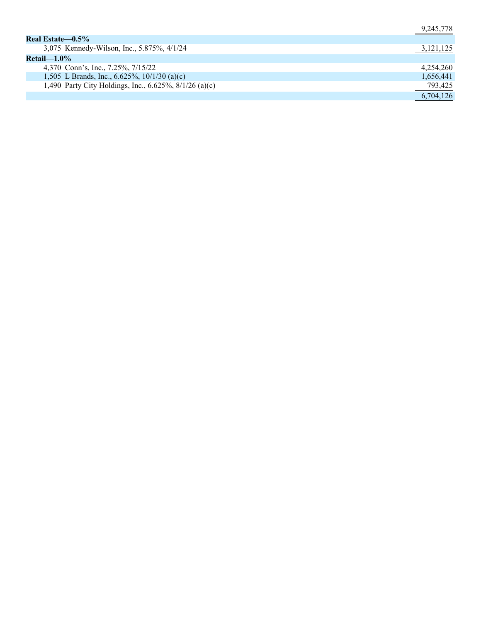|                                                        | 9,245,778 |
|--------------------------------------------------------|-----------|
| Real Estate—0.5%                                       |           |
| 3,075 Kennedy-Wilson, Inc., 5.875%, 4/1/24             | 3,121,125 |
| $Retail$ —1.0%                                         |           |
| 4,370 Conn's, Inc., 7.25%, 7/15/22                     | 4,254,260 |
| 1,505 L Brands, Inc., 6.625%, $10/1/30$ (a)(c)         | 1,656,441 |
| 1,490 Party City Holdings, Inc., 6.625%, 8/1/26 (a)(c) | 793,425   |
|                                                        | 6,704,126 |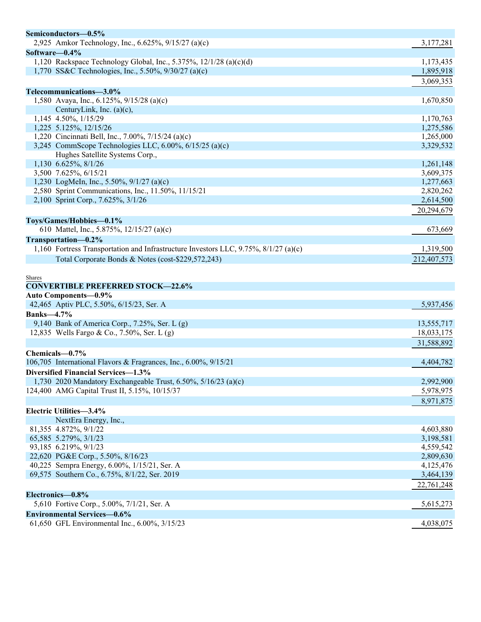| Semiconductors-0.5%<br>2,925 Amkor Technology, Inc., 6.625%, 9/15/27 (a)(c)                | 3,177,281              |
|--------------------------------------------------------------------------------------------|------------------------|
|                                                                                            |                        |
| Software $-0.4\%$<br>1,120 Rackspace Technology Global, Inc., 5.375%, $12/1/28$ (a)(c)(d)  | 1,173,435              |
| 1,770 SS&C Technologies, Inc., 5.50%, 9/30/27 (a)(c)                                       | 1,895,918              |
|                                                                                            |                        |
|                                                                                            | 3,069,353              |
| Telecommunications-3.0%                                                                    |                        |
| 1,580 Avaya, Inc., 6.125%, 9/15/28 (a)(c)                                                  | 1,670,850              |
| CenturyLink, Inc. $(a)(c)$ ,                                                               |                        |
| 1,145 4.50%, 1/15/29<br>1,225 5.125%, 12/15/26                                             | 1,170,763              |
| 1,220 Cincinnati Bell, Inc., 7.00%, 7/15/24 (a)(c)                                         | 1,275,586              |
|                                                                                            | 1,265,000              |
| 3,245 CommScope Technologies LLC, 6.00%, 6/15/25 (a)(c)<br>Hughes Satellite Systems Corp., | 3,329,532              |
| 1,130 6.625%, 8/1/26                                                                       |                        |
| 3,500 7.625%, 6/15/21                                                                      | 1,261,148<br>3,609,375 |
| 1,230 LogMeIn, Inc., 5.50%, 9/1/27 (a)(c)                                                  | 1,277,663              |
| 2,580 Sprint Communications, Inc., 11.50%, 11/15/21                                        | 2,820,262              |
| 2,100 Sprint Corp., 7.625%, 3/1/26                                                         | 2,614,500              |
|                                                                                            |                        |
|                                                                                            | 20,294,679             |
| Toys/Games/Hobbies-0.1%                                                                    |                        |
| 610 Mattel, Inc., 5.875%, 12/15/27 (a)(c)                                                  | 673,669                |
| Transportation-0.2%                                                                        |                        |
| 1,160 Fortress Transportation and Infrastructure Investors LLC, $9.75\%$ , $8/1/27$ (a)(c) | 1,319,500              |
| Total Corporate Bonds & Notes (cost-\$229,572,243)                                         | 212,407,573            |
|                                                                                            |                        |
| <b>Shares</b>                                                                              |                        |
| <b>CONVERTIBLE PREFERRED STOCK-22.6%</b>                                                   |                        |
| Auto Components-0.9%                                                                       |                        |
| 42,465 Aptiv PLC, 5.50%, 6/15/23, Ser. A                                                   | 5,937,456              |
| <b>Banks-4.7%</b>                                                                          |                        |
| 9,140 Bank of America Corp., 7.25%, Ser. L (g)                                             | 13,555,717             |
| 12,835 Wells Fargo & Co., 7.50%, Ser. L (g)                                                | 18,033,175             |
|                                                                                            | 31,588,892             |
| Chemicals-0.7%                                                                             |                        |
| 106,705 International Flavors & Fragrances, Inc., 6.00%, 9/15/21                           | 4,404,782              |
| Diversified Financial Services-1.3%                                                        |                        |
| 1,730 2020 Mandatory Exchangeable Trust, 6.50%, 5/16/23 (a)(c)                             | 2,992,900              |
| 124,400 AMG Capital Trust II, 5.15%, 10/15/37                                              | 5,978,975              |
|                                                                                            |                        |
|                                                                                            | 8,971,875              |
| Electric Utilities-3.4%                                                                    |                        |
| NextEra Energy, Inc.,                                                                      |                        |
| 81,355 4.872%, 9/1/22                                                                      | 4,603,880              |
| 65,585 5.279%, 3/1/23                                                                      | 3,198,581              |
| 93,185 6.219%, 9/1/23                                                                      | 4,559,542              |
| 22,620 PG&E Corp., 5.50%, 8/16/23                                                          | 2,809,630              |
| 40,225 Sempra Energy, 6.00%, 1/15/21, Ser. A                                               | 4,125,476              |
| 69,575 Southern Co., 6.75%, 8/1/22, Ser. 2019                                              | 3,464,139              |
|                                                                                            | 22,761,248             |
| Electronics-0.8%                                                                           |                        |
| 5,610 Fortive Corp., 5.00%, 7/1/21, Ser. A                                                 | 5,615,273              |
|                                                                                            |                        |
| <b>Environmental Services-0.6%</b>                                                         |                        |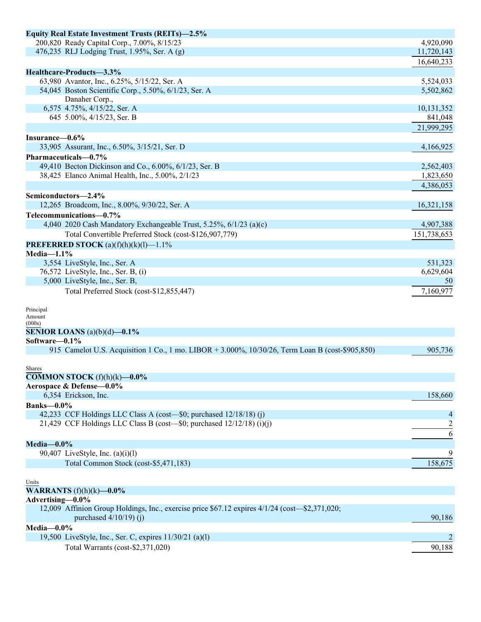| <b>Equity Real Estate Investment Trusts (REITs)-2.5%</b>                                         |             |
|--------------------------------------------------------------------------------------------------|-------------|
| 200,820 Ready Capital Corp., 7.00%, 8/15/23                                                      | 4,920,090   |
| 476,235 RLJ Lodging Trust, 1.95%, Ser. A (g)                                                     | 11,720,143  |
|                                                                                                  | 16,640,233  |
| Healthcare-Products-3.3%                                                                         |             |
| 63,980 Avantor, Inc., 6.25%, 5/15/22, Ser. A                                                     | 5,524,033   |
| 54,045 Boston Scientific Corp., 5.50%, 6/1/23, Ser. A                                            | 5,502,862   |
| Danaher Corp.,                                                                                   |             |
| 6,575 4.75%, 4/15/22, Ser. A                                                                     | 10,131,352  |
| 645 5.00%, 4/15/23, Ser. B                                                                       | 841,048     |
|                                                                                                  | 21,999,295  |
| Insurance-0.6%                                                                                   |             |
| 33,905 Assurant, Inc., 6.50%, 3/15/21, Ser. D                                                    | 4,166,925   |
| Pharmaceuticals-0.7%                                                                             |             |
| 49,410 Becton Dickinson and Co., 6.00%, 6/1/23, Ser. B                                           | 2,562,403   |
| 38,425 Elanco Animal Health, Inc., 5.00%, 2/1/23                                                 | 1,823,650   |
|                                                                                                  | 4,386,053   |
| Semiconductors-2.4%                                                                              |             |
| 12,265 Broadcom, Inc., 8.00%, 9/30/22, Ser. A                                                    | 16,321,158  |
| Telecommunications-0.7%                                                                          |             |
| 4,040 2020 Cash Mandatory Exchangeable Trust, 5.25%, 6/1/23 (a)(c)                               | 4,907,388   |
| Total Convertible Preferred Stock (cost-\$126,907,779)                                           | 151,738,653 |
|                                                                                                  |             |
| <b>PREFERRED STOCK</b> (a)(f)(h)(k)(l)-1.1%                                                      |             |
| Media- $1.1\%$                                                                                   |             |
| 3,554 LiveStyle, Inc., Ser. A                                                                    | 531,323     |
| 76,572 LiveStyle, Inc., Ser. B, (i)                                                              | 6,629,604   |
| 5,000 LiveStyle, Inc., Ser. B,                                                                   | 50          |
| Total Preferred Stock (cost-\$12,855,447)                                                        | 7,160,977   |
|                                                                                                  |             |
| Principal<br>Amount                                                                              |             |
| (000s)                                                                                           |             |
| <b>SENIOR LOANS</b> (a)(b)(d)-0.1%                                                               |             |
| Software-0.1%                                                                                    |             |
| 915 Camelot U.S. Acquisition 1 Co., 1 mo. LIBOR + 3.000%, 10/30/26, Term Loan B (cost-\$905,850) | 905,736     |
|                                                                                                  |             |
| Shares                                                                                           |             |
| <b>COMMON STOCK</b> $(f)(h)(k)$ —0.0%                                                            |             |
| Aerospace & Defense-0.0%                                                                         |             |
| 6,354 Erickson, Inc.                                                                             | 158,660     |
| <b>Banks-0.0%</b>                                                                                |             |
| 42,233 CCF Holdings LLC Class A (cost—\$0; purchased 12/18/18) (j)                               | 4           |
| 21,429 CCF Holdings LLC Class B (cost—\$0; purchased 12/12/18) (i)(j)                            |             |
|                                                                                                  | 6           |
| Media $-0.0\%$                                                                                   |             |
| 90,407 LiveStyle, Inc. $(a)(i)(l)$                                                               | 9           |
| Total Common Stock (cost-\$5,471,183)                                                            | 158,675     |
|                                                                                                  |             |
| Units                                                                                            |             |
| <b>WARRANTS</b> $(f)(h)(k)$ —0.0%                                                                |             |
| Advertising-0.0%                                                                                 |             |
| 12,009 Affinion Group Holdings, Inc., exercise price \$67.12 expires 4/1/24 (cost—\$2,371,020;   |             |
| purchased $4/10/19$ (j)                                                                          | 90,186      |
| Media-0.0%                                                                                       |             |
| 19,500 LiveStyle, Inc., Ser. C, expires 11/30/21 (a)(l)                                          | 2           |
| Total Warrants (cost-\$2,371,020)                                                                | 90,188      |
|                                                                                                  |             |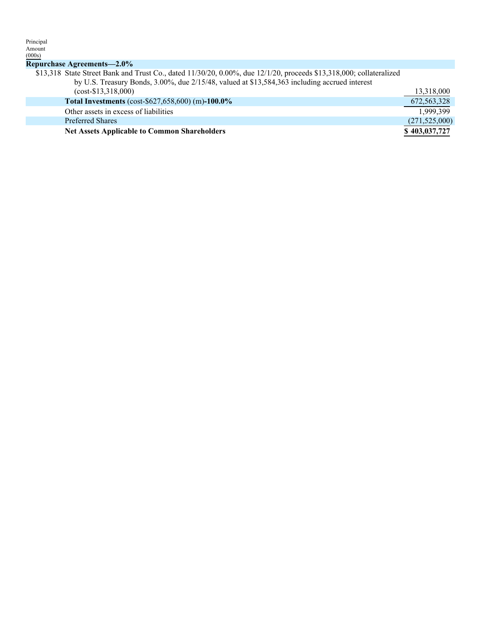| Amount                                                                                                              |                 |
|---------------------------------------------------------------------------------------------------------------------|-----------------|
| (000s)                                                                                                              |                 |
| Repurchase Agreements-2.0%                                                                                          |                 |
| \$13,318 State Street Bank and Trust Co., dated 11/30/20, 0.00%, due 12/1/20, proceeds \$13,318,000; collateralized |                 |
| by U.S. Treasury Bonds, 3.00%, due 2/15/48, valued at \$13,584,363 including accrued interest                       |                 |
| $(cost - $13,318,000)$                                                                                              | 13,318,000      |
| Total Investments (cost-\$627,658,600) (m)-100.0%                                                                   | 672, 563, 328   |
| Other assets in excess of liabilities                                                                               | 1.999.399       |
| <b>Preferred Shares</b>                                                                                             | (271, 525, 000) |
| <b>Net Assets Applicable to Common Shareholders</b>                                                                 | \$403,037,727   |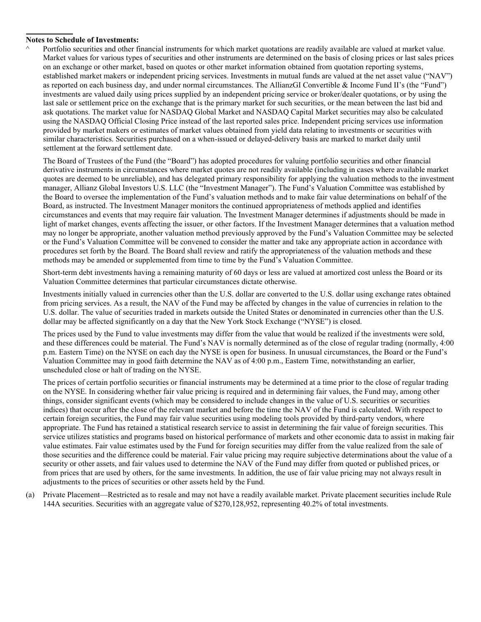## **Notes to Schedule of Investments:**

Portfolio securities and other financial instruments for which market quotations are readily available are valued at market value. Market values for various types of securities and other instruments are determined on the basis of closing prices or last sales prices on an exchange or other market, based on quotes or other market information obtained from quotation reporting systems, established market makers or independent pricing services. Investments in mutual funds are valued at the net asset value ("NAV") as reported on each business day, and under normal circumstances. The AllianzGI Convertible & Income Fund II's (the "Fund") investments are valued daily using prices supplied by an independent pricing service or broker/dealer quotations, or by using the last sale or settlement price on the exchange that is the primary market for such securities, or the mean between the last bid and ask quotations. The market value for NASDAQ Global Market and NASDAQ Capital Market securities may also be calculated using the NASDAQ Official Closing Price instead of the last reported sales price. Independent pricing services use information provided by market makers or estimates of market values obtained from yield data relating to investments or securities with similar characteristics. Securities purchased on a when-issued or delayed-delivery basis are marked to market daily until settlement at the forward settlement date.

The Board of Trustees of the Fund (the "Board") has adopted procedures for valuing portfolio securities and other financial derivative instruments in circumstances where market quotes are not readily available (including in cases where available market quotes are deemed to be unreliable), and has delegated primary responsibility for applying the valuation methods to the investment manager, Allianz Global Investors U.S. LLC (the "Investment Manager"). The Fund's Valuation Committee was established by the Board to oversee the implementation of the Fund's valuation methods and to make fair value determinations on behalf of the Board, as instructed. The Investment Manager monitors the continued appropriateness of methods applied and identifies circumstances and events that may require fair valuation. The Investment Manager determines if adjustments should be made in light of market changes, events affecting the issuer, or other factors. If the Investment Manager determines that a valuation method may no longer be appropriate, another valuation method previously approved by the Fund's Valuation Committee may be selected or the Fund's Valuation Committee will be convened to consider the matter and take any appropriate action in accordance with procedures set forth by the Board. The Board shall review and ratify the appropriateness of the valuation methods and these methods may be amended or supplemented from time to time by the Fund's Valuation Committee.

Short-term debt investments having a remaining maturity of 60 days or less are valued at amortized cost unless the Board or its Valuation Committee determines that particular circumstances dictate otherwise.

Investments initially valued in currencies other than the U.S. dollar are converted to the U.S. dollar using exchange rates obtained from pricing services. As a result, the NAV of the Fund may be affected by changes in the value of currencies in relation to the U.S. dollar. The value of securities traded in markets outside the United States or denominated in currencies other than the U.S. dollar may be affected significantly on a day that the New York Stock Exchange ("NYSE") is closed.

The prices used by the Fund to value investments may differ from the value that would be realized if the investments were sold, and these differences could be material. The Fund's NAV is normally determined as of the close of regular trading (normally, 4:00 p.m. Eastern Time) on the NYSE on each day the NYSE is open for business. In unusual circumstances, the Board or the Fund's Valuation Committee may in good faith determine the NAV as of 4:00 p.m., Eastern Time, notwithstanding an earlier, unscheduled close or halt of trading on the NYSE.

The prices of certain portfolio securities or financial instruments may be determined at a time prior to the close of regular trading on the NYSE. In considering whether fair value pricing is required and in determining fair values, the Fund may, among other things, consider significant events (which may be considered to include changes in the value of U.S. securities or securities indices) that occur after the close of the relevant market and before the time the NAV of the Fund is calculated. With respect to certain foreign securities, the Fund may fair value securities using modeling tools provided by third-party vendors, where appropriate. The Fund has retained a statistical research service to assist in determining the fair value of foreign securities. This service utilizes statistics and programs based on historical performance of markets and other economic data to assist in making fair value estimates. Fair value estimates used by the Fund for foreign securities may differ from the value realized from the sale of those securities and the difference could be material. Fair value pricing may require subjective determinations about the value of a security or other assets, and fair values used to determine the NAV of the Fund may differ from quoted or published prices, or from prices that are used by others, for the same investments. In addition, the use of fair value pricing may not always result in adjustments to the prices of securities or other assets held by the Fund.

(a) Private Placement—Restricted as to resale and may not have a readily available market. Private placement securities include Rule 144A securities. Securities with an aggregate value of \$270,128,952, representing 40.2% of total investments.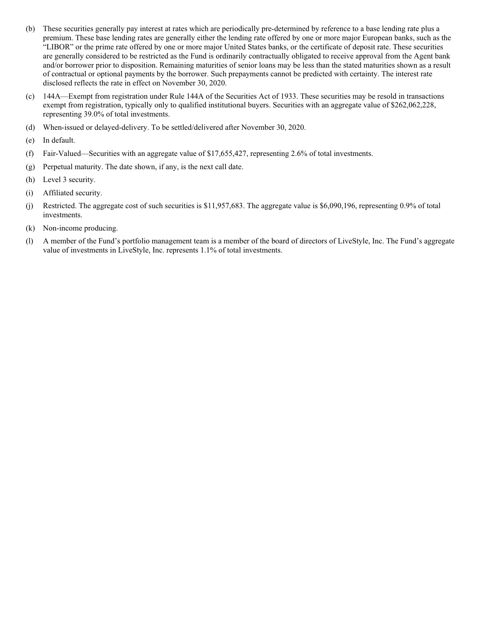- (b) These securities generally pay interest at rates which are periodically pre-determined by reference to a base lending rate plus a premium. These base lending rates are generally either the lending rate offered by one or more major European banks, such as the "LIBOR" or the prime rate offered by one or more major United States banks, or the certificate of deposit rate. These securities are generally considered to be restricted as the Fund is ordinarily contractually obligated to receive approval from the Agent bank and/or borrower prior to disposition. Remaining maturities of senior loans may be less than the stated maturities shown as a result of contractual or optional payments by the borrower. Such prepayments cannot be predicted with certainty. The interest rate disclosed reflects the rate in effect on November 30, 2020.
- (c) 144A—Exempt from registration under Rule 144A of the Securities Act of 1933. These securities may be resold in transactions exempt from registration, typically only to qualified institutional buyers. Securities with an aggregate value of \$262,062,228, representing 39.0% of total investments.
- (d) When-issued or delayed-delivery. To be settled/delivered after November 30, 2020.
- (e) In default.
- (f) Fair-Valued—Securities with an aggregate value of \$17,655,427, representing 2.6% of total investments.
- (g) Perpetual maturity. The date shown, if any, is the next call date.
- (h) Level 3 security.
- (i) Affiliated security.
- (j) Restricted. The aggregate cost of such securities is \$11,957,683. The aggregate value is \$6,090,196, representing 0.9% of total investments.
- (k) Non-income producing.
- (l) A member of the Fund's portfolio management team is a member of the board of directors of LiveStyle, Inc. The Fund's aggregate value of investments in LiveStyle, Inc. represents 1.1% of total investments.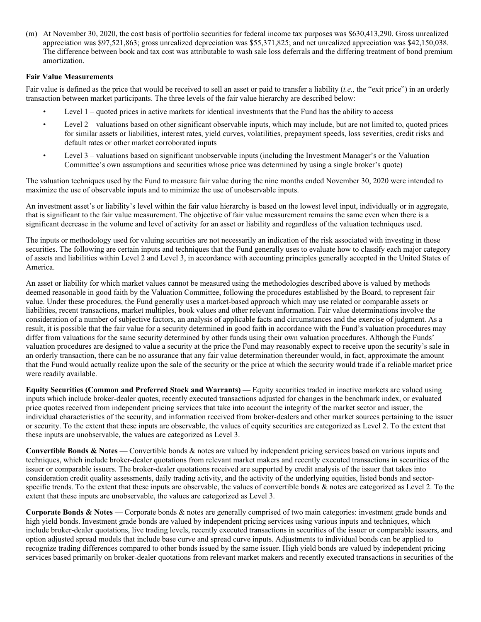(m) At November 30, 2020, the cost basis of portfolio securities for federal income tax purposes was \$630,413,290. Gross unrealized appreciation was \$97,521,863; gross unrealized depreciation was \$55,371,825; and net unrealized appreciation was \$42,150,038. The difference between book and tax cost was attributable to wash sale loss deferrals and the differing treatment of bond premium amortization.

## **Fair Value Measurements**

Fair value is defined as the price that would be received to sell an asset or paid to transfer a liability (*i.e.,* the "exit price") in an orderly transaction between market participants. The three levels of the fair value hierarchy are described below:

- Level 1 quoted prices in active markets for identical investments that the Fund has the ability to access
- Level 2 valuations based on other significant observable inputs, which may include, but are not limited to, quoted prices for similar assets or liabilities, interest rates, yield curves, volatilities, prepayment speeds, loss severities, credit risks and default rates or other market corroborated inputs
- Level 3 valuations based on significant unobservable inputs (including the Investment Manager's or the Valuation Committee's own assumptions and securities whose price was determined by using a single broker's quote)

The valuation techniques used by the Fund to measure fair value during the nine months ended November 30, 2020 were intended to maximize the use of observable inputs and to minimize the use of unobservable inputs.

An investment asset's or liability's level within the fair value hierarchy is based on the lowest level input, individually or in aggregate, that is significant to the fair value measurement. The objective of fair value measurement remains the same even when there is a significant decrease in the volume and level of activity for an asset or liability and regardless of the valuation techniques used.

The inputs or methodology used for valuing securities are not necessarily an indication of the risk associated with investing in those securities. The following are certain inputs and techniques that the Fund generally uses to evaluate how to classify each major category of assets and liabilities within Level 2 and Level 3, in accordance with accounting principles generally accepted in the United States of America.

An asset or liability for which market values cannot be measured using the methodologies described above is valued by methods deemed reasonable in good faith by the Valuation Committee, following the procedures established by the Board, to represent fair value. Under these procedures, the Fund generally uses a market-based approach which may use related or comparable assets or liabilities, recent transactions, market multiples, book values and other relevant information. Fair value determinations involve the consideration of a number of subjective factors, an analysis of applicable facts and circumstances and the exercise of judgment. As a result, it is possible that the fair value for a security determined in good faith in accordance with the Fund's valuation procedures may differ from valuations for the same security determined by other funds using their own valuation procedures. Although the Funds' valuation procedures are designed to value a security at the price the Fund may reasonably expect to receive upon the security's sale in an orderly transaction, there can be no assurance that any fair value determination thereunder would, in fact, approximate the amount that the Fund would actually realize upon the sale of the security or the price at which the security would trade if a reliable market price were readily available.

**Equity Securities (Common and Preferred Stock and Warrants)** — Equity securities traded in inactive markets are valued using inputs which include broker-dealer quotes, recently executed transactions adjusted for changes in the benchmark index, or evaluated price quotes received from independent pricing services that take into account the integrity of the market sector and issuer, the individual characteristics of the security, and information received from broker-dealers and other market sources pertaining to the issuer or security. To the extent that these inputs are observable, the values of equity securities are categorized as Level 2. To the extent that these inputs are unobservable, the values are categorized as Level 3.

**Convertible Bonds & Notes** — Convertible bonds & notes are valued by independent pricing services based on various inputs and techniques, which include broker-dealer quotations from relevant market makers and recently executed transactions in securities of the issuer or comparable issuers. The broker-dealer quotations received are supported by credit analysis of the issuer that takes into consideration credit quality assessments, daily trading activity, and the activity of the underlying equities, listed bonds and sectorspecific trends. To the extent that these inputs are observable, the values of convertible bonds & notes are categorized as Level 2. To the extent that these inputs are unobservable, the values are categorized as Level 3.

**Corporate Bonds & Notes** — Corporate bonds & notes are generally comprised of two main categories: investment grade bonds and high yield bonds. Investment grade bonds are valued by independent pricing services using various inputs and techniques, which include broker-dealer quotations, live trading levels, recently executed transactions in securities of the issuer or comparable issuers, and option adjusted spread models that include base curve and spread curve inputs. Adjustments to individual bonds can be applied to recognize trading differences compared to other bonds issued by the same issuer. High yield bonds are valued by independent pricing services based primarily on broker-dealer quotations from relevant market makers and recently executed transactions in securities of the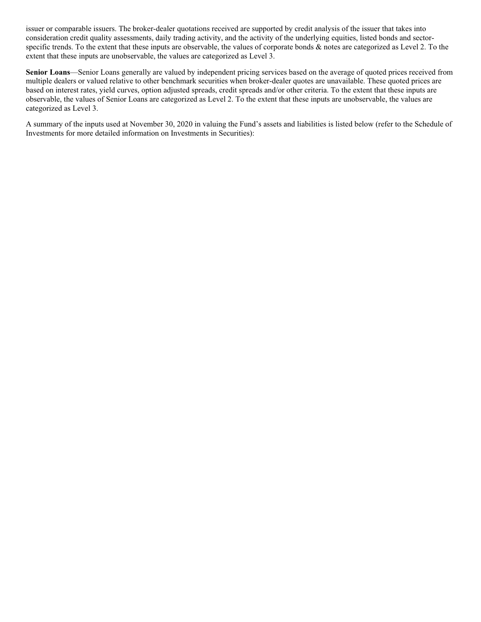issuer or comparable issuers. The broker-dealer quotations received are supported by credit analysis of the issuer that takes into consideration credit quality assessments, daily trading activity, and the activity of the underlying equities, listed bonds and sectorspecific trends. To the extent that these inputs are observable, the values of corporate bonds & notes are categorized as Level 2. To the extent that these inputs are unobservable, the values are categorized as Level 3.

**Senior Loans**—Senior Loans generally are valued by independent pricing services based on the average of quoted prices received from multiple dealers or valued relative to other benchmark securities when broker-dealer quotes are unavailable. These quoted prices are based on interest rates, yield curves, option adjusted spreads, credit spreads and/or other criteria. To the extent that these inputs are observable, the values of Senior Loans are categorized as Level 2. To the extent that these inputs are unobservable, the values are categorized as Level 3.

A summary of the inputs used at November 30, 2020 in valuing the Fund's assets and liabilities is listed below (refer to the Schedule of Investments for more detailed information on Investments in Securities):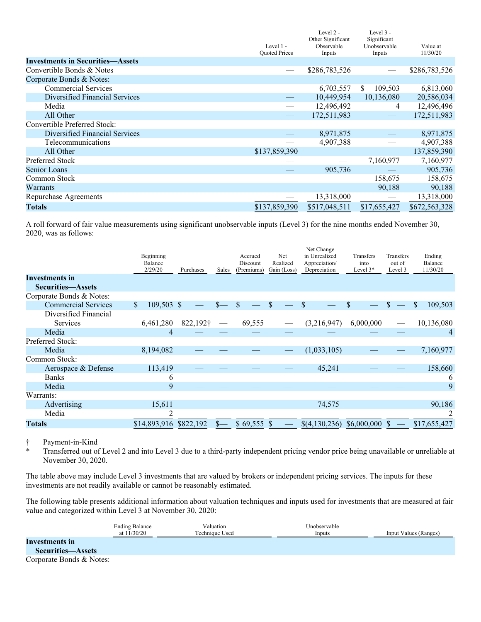|                                         | Level 1 -<br><b>Ouoted Prices</b> | Level 2 -<br>Other Significant<br>Observable<br>Inputs | Level 3 -<br>Significant<br>Unobservable<br>Inputs | Value at<br>11/30/20 |
|-----------------------------------------|-----------------------------------|--------------------------------------------------------|----------------------------------------------------|----------------------|
| <b>Investments in Securities-Assets</b> |                                   |                                                        |                                                    |                      |
| Convertible Bonds & Notes               |                                   | \$286,783,526                                          |                                                    | \$286,783,526        |
| Corporate Bonds & Notes:                |                                   |                                                        |                                                    |                      |
| <b>Commercial Services</b>              |                                   | 6,703,557                                              | 109,503<br>\$                                      | 6,813,060            |
| Diversified Financial Services          |                                   | 10,449,954                                             | 10,136,080                                         | 20,586,034           |
| Media                                   |                                   | 12,496,492                                             | 4                                                  | 12,496,496           |
| All Other                               |                                   | 172,511,983                                            |                                                    | 172,511,983          |
| Convertible Preferred Stock:            |                                   |                                                        |                                                    |                      |
| Diversified Financial Services          |                                   | 8,971,875                                              |                                                    | 8,971,875            |
| Telecommunications                      |                                   | 4,907,388                                              |                                                    | 4,907,388            |
| All Other                               | \$137,859,390                     |                                                        |                                                    | 137,859,390          |
| <b>Preferred Stock</b>                  |                                   | $\hspace{0.05cm}$                                      | 7,160,977                                          | 7,160,977            |
| Senior Loans                            |                                   | 905,736                                                |                                                    | 905,736              |
| Common Stock                            |                                   |                                                        | 158,675                                            | 158,675              |
| Warrants                                |                                   |                                                        | 90,188                                             | 90,188               |
| Repurchase Agreements                   |                                   | 13,318,000                                             |                                                    | 13,318,000           |
| <b>Totals</b>                           | \$137,859,390                     | \$517,048,511                                          | \$17,655,427                                       | \$672,563,328        |

A roll forward of fair value measurements using significant unobservable inputs (Level 3) for the nine months ended November 30, 2020, was as follows:

|                            | Beginning<br><b>Balance</b><br>2/29/20 | Purchases | Sales             | Accrued<br>Discount<br>(Premiums) | Net<br>Realized<br>Gain (Loss) | Net Change<br>in Unrealized<br>Appreciation/<br>Depreciation | Transfers<br>into<br>Level $3*$ | Transfers<br>out of<br>Level 3 | Ending<br>Balance<br>11/30/20 |
|----------------------------|----------------------------------------|-----------|-------------------|-----------------------------------|--------------------------------|--------------------------------------------------------------|---------------------------------|--------------------------------|-------------------------------|
| Investments in             |                                        |           |                   |                                   |                                |                                                              |                                 |                                |                               |
| <b>Securities-Assets</b>   |                                        |           |                   |                                   |                                |                                                              |                                 |                                |                               |
| Corporate Bonds & Notes:   |                                        |           |                   |                                   |                                |                                                              |                                 |                                |                               |
| <b>Commercial Services</b> | \$<br>$109,503$ \$                     |           | $S-$              | $\mathbb{S}$                      | $\mathcal{S}$                  | \$                                                           | \$                              |                                | \$<br>109,503                 |
| Diversified Financial      |                                        |           |                   |                                   |                                |                                                              |                                 |                                |                               |
| <b>Services</b>            | 6,461,280                              | 822,192†  | $\hspace{0.05cm}$ | 69,555                            |                                | (3,216,947)                                                  | 6,000,000                       |                                | 10,136,080                    |
| Media                      | 4                                      |           |                   |                                   |                                |                                                              |                                 |                                | 4                             |
| Preferred Stock:           |                                        |           |                   |                                   |                                |                                                              |                                 |                                |                               |
| Media                      | 8,194,082                              |           |                   |                                   |                                | (1,033,105)                                                  |                                 |                                | 7,160,977                     |
| Common Stock:              |                                        |           |                   |                                   |                                |                                                              |                                 |                                |                               |
| Aerospace & Defense        | 113,419                                |           |                   |                                   |                                | 45,241                                                       |                                 |                                | 158,660                       |
| <b>Banks</b>               | 6                                      |           |                   |                                   |                                |                                                              |                                 |                                | 6                             |
| Media                      | 9                                      |           |                   |                                   |                                |                                                              |                                 |                                | 9                             |
| Warrants:                  |                                        |           |                   |                                   |                                |                                                              |                                 |                                |                               |
| Advertising                | 15,611                                 |           |                   |                                   |                                | 74,575                                                       |                                 |                                | 90,186                        |
| Media                      | 2                                      |           |                   |                                   |                                |                                                              |                                 |                                |                               |
| <b>Totals</b>              | \$14,893,916                           | \$822,192 |                   | $$69,555$ \$                      |                                | \$(4,130,236)                                                | \$6,000,000                     | \$.                            | \$17,655,427                  |

† Payment-in-Kind

\* Transferred out of Level 2 and into Level 3 due to a third-party independent pricing vendor price being unavailable or unreliable at November 30, 2020.

The table above may include Level 3 investments that are valued by brokers or independent pricing services. The inputs for these investments are not readily available or cannot be reasonably estimated.

The following table presents additional information about valuation techniques and inputs used for investments that are measured at fair value and categorized within Level 3 at November 30, 2020:

|                                     | <b>Ending Balance</b><br>at $11/30/20$ | Valuation<br>Technique Used | Unobservable<br>Inputs | Input Values (Ranges) |
|-------------------------------------|----------------------------------------|-----------------------------|------------------------|-----------------------|
| Investments in<br>Securities—Assets |                                        |                             |                        |                       |
| Corporate Bonds & Notes:            |                                        |                             |                        |                       |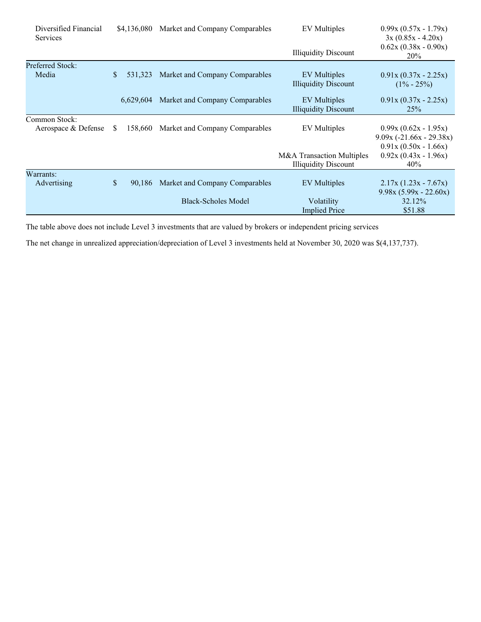| Diversified Financial<br><b>Services</b> |              | \$4,136,080 | Market and Company Comparables | <b>EV</b> Multiples         | $0.99x (0.57x - 1.79x)$<br>$3x(0.85x - 4.20x)$ |
|------------------------------------------|--------------|-------------|--------------------------------|-----------------------------|------------------------------------------------|
|                                          |              |             |                                | <b>Illiquidity Discount</b> | $0.62x(0.38x - 0.90x)$<br>20%                  |
| <b>Preferred Stock:</b>                  |              |             |                                |                             |                                                |
| Media                                    | \$           | 531,323     | Market and Company Comparables | EV Multiples                | $0.91x(0.37x - 2.25x)$                         |
|                                          |              |             |                                | <b>Illiquidity Discount</b> | $(1\% - 25\%)$                                 |
|                                          |              | 6,629,604   | Market and Company Comparables | <b>EV</b> Multiples         | $0.91x(0.37x - 2.25x)$                         |
|                                          |              |             |                                | <b>Illiquidity Discount</b> | 25%                                            |
| Common Stock:                            |              |             |                                |                             |                                                |
| Aerospace & Defense                      | S.           | 158,660     | Market and Company Comparables | <b>EV</b> Multiples         | $0.99x(0.62x - 1.95x)$                         |
|                                          |              |             |                                |                             | $9.09x (-21.66x - 29.38x)$                     |
|                                          |              |             |                                |                             | $0.91x (0.50x - 1.66x)$                        |
|                                          |              |             |                                | M&A Transaction Multiples   | $0.92x(0.43x - 1.96x)$                         |
|                                          |              |             |                                | <b>Illiquidity Discount</b> | 40%                                            |
| Warrants:                                |              |             |                                |                             |                                                |
| Advertising                              | $\mathbb{S}$ | 90.186      | Market and Company Comparables | EV Multiples                | $2.17x(1.23x - 7.67x)$                         |
|                                          |              |             |                                |                             | $9.98x(5.99x - 22.60x)$                        |
|                                          |              |             | <b>Black-Scholes Model</b>     | Volatility                  | 32.12%                                         |
|                                          |              |             |                                | <b>Implied Price</b>        | \$51.88                                        |

The table above does not include Level 3 investments that are valued by brokers or independent pricing services

The net change in unrealized appreciation/depreciation of Level 3 investments held at November 30, 2020 was \$(4,137,737).